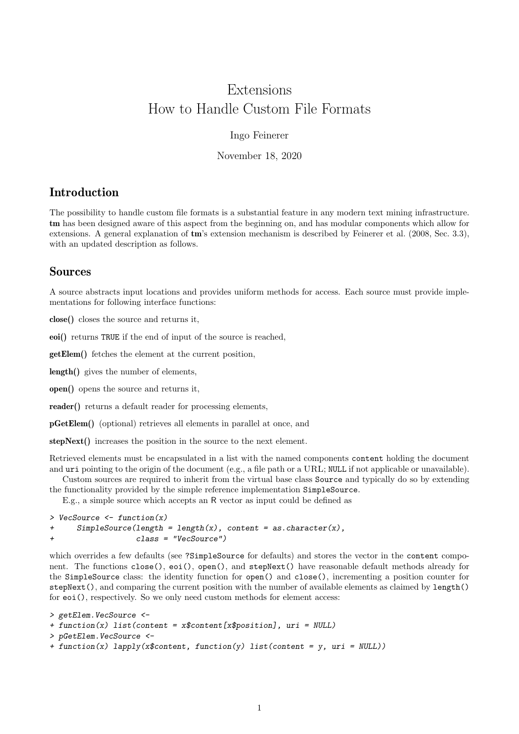# Extensions How to Handle Custom File Formats

#### Ingo Feinerer

November 18, 2020

## Introduction

The possibility to handle custom file formats is a substantial feature in any modern text mining infrastructure. tm has been designed aware of this aspect from the beginning on, and has modular components which allow for extensions. A general explanation of tm's extension mechanism is described by Feinerer et al. (2008, Sec. 3.3), with an updated description as follows.

# Sources

A source abstracts input locations and provides uniform methods for access. Each source must provide implementations for following interface functions:

close() closes the source and returns it,

eoi() returns TRUE if the end of input of the source is reached,

getElem() fetches the element at the current position,

length() gives the number of elements,

open() opens the source and returns it,

reader() returns a default reader for processing elements,

pGetElem() (optional) retrieves all elements in parallel at once, and

stepNext() increases the position in the source to the next element.

Retrieved elements must be encapsulated in a list with the named components content holding the document and uri pointing to the origin of the document (e.g., a file path or a URL; NULL if not applicable or unavailable).

Custom sources are required to inherit from the virtual base class Source and typically do so by extending the functionality provided by the simple reference implementation SimpleSource.

E.g., a simple source which accepts an R vector as input could be defined as

```
> VecSource <- function(x)
+ SimpleSource(length = length(x), content = as.character(x),
                  class = "VecSource")
```
which overrides a few defaults (see ?SimpleSource for defaults) and stores the vector in the content component. The functions close(), eoi(), open(), and stepNext() have reasonable default methods already for the SimpleSource class: the identity function for open() and close(), incrementing a position counter for stepNext(), and comparing the current position with the number of available elements as claimed by length() for eoi(), respectively. So we only need custom methods for element access:

```
> getElem.VecSource <-
+ function(x) list(content = x$content[x$position], uri = NULL)
> pGetElem.VecSource <-
+ function(x) lapply(x$content, function(y) list(content = y, uri = NULL))
```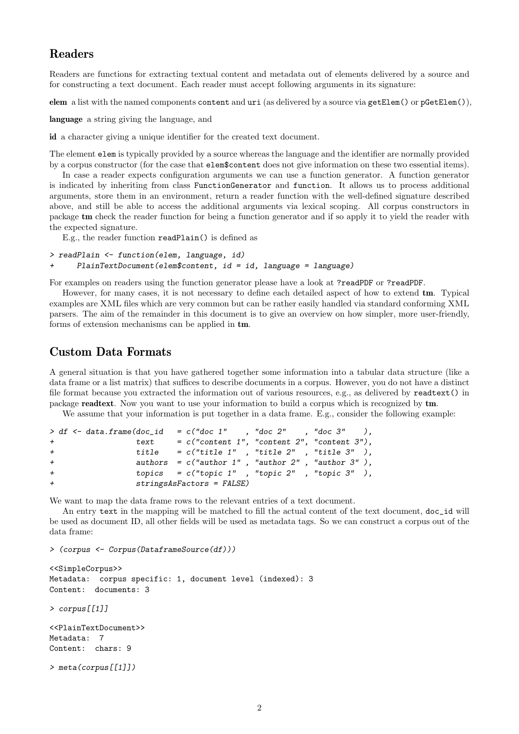## Readers

Readers are functions for extracting textual content and metadata out of elements delivered by a source and for constructing a text document. Each reader must accept following arguments in its signature:

elem a list with the named components content and uri (as delivered by a source via getElem() or pGetElem()),

language a string giving the language, and

id a character giving a unique identifier for the created text document.

The element elem is typically provided by a source whereas the language and the identifier are normally provided by a corpus constructor (for the case that elem\$content does not give information on these two essential items).

In case a reader expects configuration arguments we can use a function generator. A function generator is indicated by inheriting from class FunctionGenerator and function. It allows us to process additional arguments, store them in an environment, return a reader function with the well-defined signature described above, and still be able to access the additional arguments via lexical scoping. All corpus constructors in package tm check the reader function for being a function generator and if so apply it to yield the reader with the expected signature.

E.g., the reader function readPlain() is defined as

```
> readPlain <- function(elem, language, id)
+ PlainTextDocument(elem$content, id = id, language = language)
```
For examples on readers using the function generator please have a look at ?readPDF or ?readPDF.

However, for many cases, it is not necessary to define each detailed aspect of how to extend tm. Typical examples are XML files which are very common but can be rather easily handled via standard conforming XML parsers. The aim of the remainder in this document is to give an overview on how simpler, more user-friendly, forms of extension mechanisms can be applied in tm.

#### Custom Data Formats

A general situation is that you have gathered together some information into a tabular data structure (like a data frame or a list matrix) that suffices to describe documents in a corpus. However, you do not have a distinct file format because you extracted the information out of various resources, e.g., as delivered by readtext() in package readtext. Now you want to use your information to build a corpus which is recognized by tm.

We assume that your information is put together in a data frame. E.g., consider the following example:

```
> df \leq data frame(doc_id = c("doc 1" , "doc 2" , "doc 3" ),
+ text = c("content 1", "content 2", "content 3"),
+ title = c("title 1" , "title 2" , "title 3" ),
+ authors = c("author 1", "author 2", "author 3"),
+ topics = c("topic 1" , "topic 2" , "topic 3" ),
              stringsAsFactors = FALSE)
```
We want to map the data frame rows to the relevant entries of a text document.

An entry text in the mapping will be matched to fill the actual content of the text document, doc id will be used as document ID, all other fields will be used as metadata tags. So we can construct a corpus out of the data frame:

```
> (corpus <- Corpus(DataframeSource(df)))
```

```
<<SimpleCorpus>>
Metadata: corpus specific: 1, document level (indexed): 3
Content: documents: 3
> corpus[[1]]
<<PlainTextDocument>>
Metadata: 7
Content: chars: 9
> meta(corpus[[1]])
```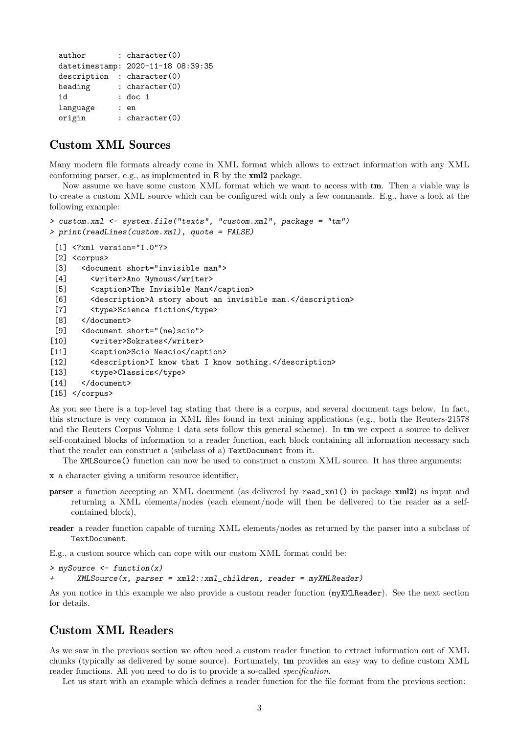```
author : character(0)
datetimestamp: 2020-11-18 08:39:35
description : character(0)
heading : character(0)
id : doc 1
language : en
origin : character(0)
```
# Custom XML Sources

Many modern file formats already come in XML format which allows to extract information with any XML conforming parser, e.g., as implemented in R by the xml2 package.

Now assume we have some custom XML format which we want to access with tm. Then a viable way is to create a custom XML source which can be configured with only a few commands. E.g., have a look at the following example:

```
> custom.xml <- system.file("texts", "custom.xml", package = "tm")
> print(readLines(custom.xml), quote = FALSE)
 [1] <?xml version="1.0"?>
 [2] <corpus>
 [3] <document short="invisible man">
 [4] <writer>Ano Nymous</writer>
 [5] <caption>The Invisible Man</caption>
 [6] <description>A story about an invisible man.</description>
 [7] <type>Science fiction</type>
 [8] </document>
 [9] <document short="(ne)scio">
[10] <writer>Sokrates</writer>
[11] <caption>Scio Nescio</caption>
[12] <description>I know that I know nothing.</description>
[13] <type>Classics</type>
[14] </document>
[15] </corpus>
```
As you see there is a top-level tag stating that there is a corpus, and several document tags below. In fact, this structure is very common in XML files found in text mining applications (e.g., both the Reuters-21578 and the Reuters Corpus Volume 1 data sets follow this general scheme). In tm we expect a source to deliver self-contained blocks of information to a reader function, each block containing all information necessary such that the reader can construct a (subclass of a) TextDocument from it.

The XMLSource() function can now be used to construct a custom XML source. It has three arguments:

- x a character giving a uniform resource identifier,
- parser a function accepting an XML document (as delivered by read\_xml() in package xml2) as input and returning a XML elements/nodes (each element/node will then be delivered to the reader as a selfcontained block),
- reader a reader function capable of turning XML elements/nodes as returned by the parser into a subclass of TextDocument.

E.g., a custom source which can cope with our custom XML format could be:

> mySource <- function(x)

 $XMLSource(x, parser = xml2::xml\_children, reader = myXMLReader)$ 

As you notice in this example we also provide a custom reader function (myXMLReader). See the next section for details.

#### Custom XML Readers

As we saw in the previous section we often need a custom reader function to extract information out of XML chunks (typically as delivered by some source). Fortunately, tm provides an easy way to define custom XML reader functions. All you need to do is to provide a so-called *specification*.

Let us start with an example which defines a reader function for the file format from the previous section: